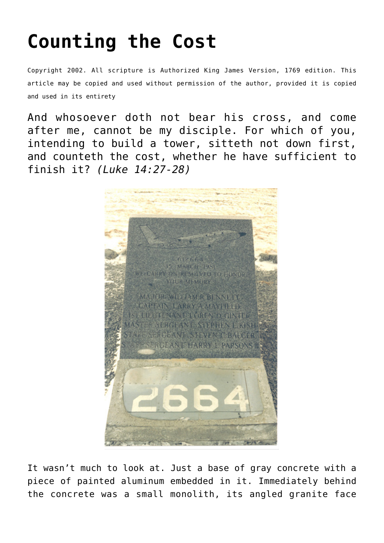## **[Counting the Cost](http://reproachofmen.org/spiritualwar/counting-the-cost/)**

Copyright 2002. All scripture is Authorized King James Version, 1769 edition. This article may be copied and used without permission of the author, provided it is copied and used in its entirety

And whosoever doth not bear his cross, and come after me, cannot be my disciple. For which of you, intending to build a tower, sitteth not down first, and counteth the cost, whether he have sufficient to finish it? *(Luke 14:27-28)*



It wasn't much to look at. Just a base of gray concrete with a piece of painted aluminum embedded in it. Immediately behind the concrete was a small monolith, its angled granite face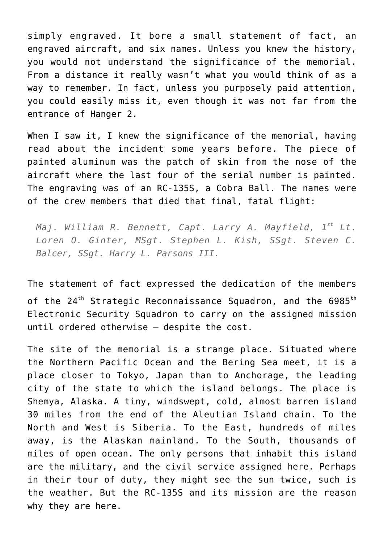simply engraved. It bore a small statement of fact, an engraved aircraft, and six names. Unless you knew the history, you would not understand the significance of the memorial. From a distance it really wasn't what you would think of as a way to remember. In fact, unless you purposely paid attention, you could easily miss it, even though it was not far from the entrance of Hanger 2.

When I saw it, I knew the significance of the memorial, having read about the incident some years before. The piece of painted aluminum was the patch of skin from the nose of the aircraft where the last four of the serial number is painted. The engraving was of an RC-135S, a Cobra Ball. The names were of the crew members that died that final, fatal flight:

*Maj. William R. Bennett, Capt. Larry A. Mayfield, 1st Lt. Loren O. Ginter, MSgt. Stephen L. Kish, SSgt. Steven C. Balcer, SSgt. Harry L. Parsons III.*

The statement of fact expressed the dedication of the members of the 24<sup>th</sup> Strategic Reconnaissance Squadron, and the 6985<sup>th</sup> Electronic Security Squadron to carry on the assigned mission until ordered otherwise — despite the cost.

The site of the memorial is a strange place. Situated where the Northern Pacific Ocean and the Bering Sea meet, it is a place closer to Tokyo, Japan than to Anchorage, the leading city of the state to which the island belongs. The place is Shemya, Alaska. A tiny, windswept, cold, almost barren island 30 miles from the end of the Aleutian Island chain. To the North and West is Siberia. To the East, hundreds of miles away, is the Alaskan mainland. To the South, thousands of miles of open ocean. The only persons that inhabit this island are the military, and the civil service assigned here. Perhaps in their tour of duty, they might see the sun twice, such is the weather. But the RC-135S and its mission are the reason why they are here.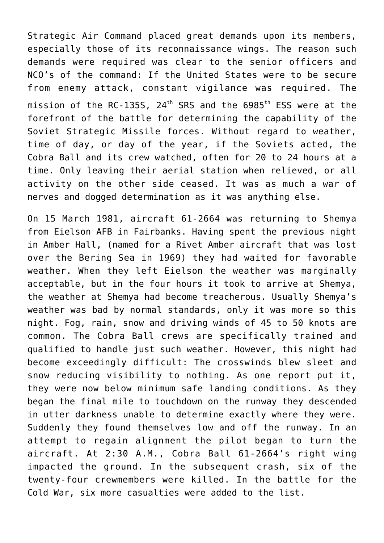Strategic Air Command placed great demands upon its members, especially those of its reconnaissance wings. The reason such demands were required was clear to the senior officers and NCO's of the command: If the United States were to be secure from enemy attack, constant vigilance was required. The mission of the RC-135S,  $24<sup>th</sup>$  SRS and the 6985<sup>th</sup> ESS were at the forefront of the battle for determining the capability of the Soviet Strategic Missile forces. Without regard to weather, time of day, or day of the year, if the Soviets acted, the Cobra Ball and its crew watched, often for 20 to 24 hours at a time. Only leaving their aerial station when relieved, or all activity on the other side ceased. It was as much a war of nerves and dogged determination as it was anything else.

On 15 March 1981, aircraft 61-2664 was returning to Shemya from Eielson AFB in Fairbanks. Having spent the previous night in Amber Hall, (named for a Rivet Amber aircraft that was lost over the Bering Sea in 1969) they had waited for favorable weather. When they left Eielson the weather was marginally acceptable, but in the four hours it took to arrive at Shemya, the weather at Shemya had become treacherous. Usually Shemya's weather was bad by normal standards, only it was more so this night. Fog, rain, snow and driving winds of 45 to 50 knots are common. The Cobra Ball crews are specifically trained and qualified to handle just such weather. However, this night had become exceedingly difficult: The crosswinds blew sleet and snow reducing visibility to nothing. As one report put it, they were now below minimum safe landing conditions. As they began the final mile to touchdown on the runway they descended in utter darkness unable to determine exactly where they were. Suddenly they found themselves low and off the runway. In an attempt to regain alignment the pilot began to turn the aircraft. At 2:30 A.M., Cobra Ball 61-2664's right wing impacted the ground. In the subsequent crash, six of the twenty-four crewmembers were killed. In the battle for the Cold War, six more casualties were added to the list.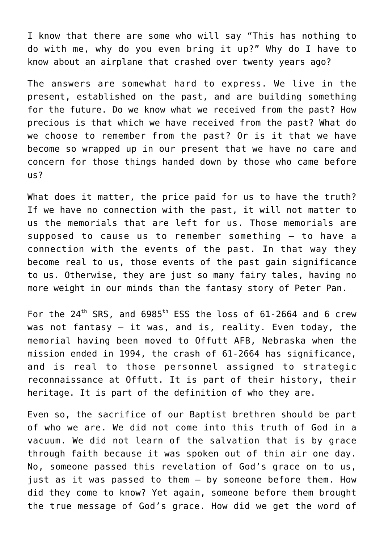I know that there are some who will say "This has nothing to do with me, why do you even bring it up?" Why do I have to know about an airplane that crashed over twenty years ago?

The answers are somewhat hard to express. We live in the present, established on the past, and are building something for the future. Do we know what we received from the past? How precious is that which we have received from the past? What do we choose to remember from the past? Or is it that we have become so wrapped up in our present that we have no care and concern for those things handed down by those who came before us?

What does it matter, the price paid for us to have the truth? If we have no connection with the past, it will not matter to us the memorials that are left for us. Those memorials are supposed to cause us to remember something — to have a connection with the events of the past. In that way they become real to us, those events of the past gain significance to us. Otherwise, they are just so many fairy tales, having no more weight in our minds than the fantasy story of Peter Pan.

For the  $24^{th}$  SRS, and  $6985^{th}$  ESS the loss of 61-2664 and 6 crew was not fantasy – it was, and is, reality. Even today, the memorial having been moved to Offutt AFB, Nebraska when the mission ended in 1994, the crash of 61-2664 has significance, and is real to those personnel assigned to strategic reconnaissance at Offutt. It is part of their history, their heritage. It is part of the definition of who they are.

Even so, the sacrifice of our Baptist brethren should be part of who we are. We did not come into this truth of God in a vacuum. We did not learn of the salvation that is by grace through faith because it was spoken out of thin air one day. No, someone passed this revelation of God's grace on to us, just as it was passed to them — by someone before them. How did they come to know? Yet again, someone before them brought the true message of God's grace. How did we get the word of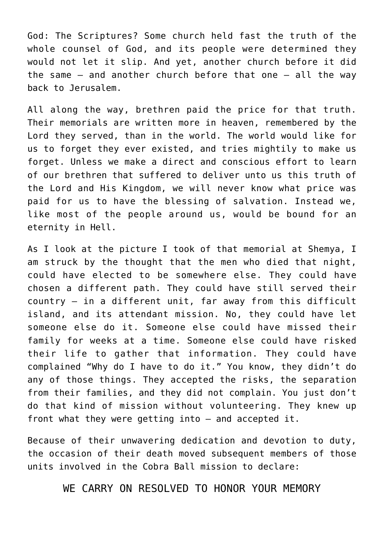God: The Scriptures? Some church held fast the truth of the whole counsel of God, and its people were determined they would not let it slip. And yet, another church before it did the same — and another church before that one — all the way back to Jerusalem.

All along the way, brethren paid the price for that truth. Their memorials are written more in heaven, remembered by the Lord they served, than in the world. The world would like for us to forget they ever existed, and tries mightily to make us forget. Unless we make a direct and conscious effort to learn of our brethren that suffered to deliver unto us this truth of the Lord and His Kingdom, we will never know what price was paid for us to have the blessing of salvation. Instead we, like most of the people around us, would be bound for an eternity in Hell.

As I look at the picture I took of that memorial at Shemya, I am struck by the thought that the men who died that night, could have elected to be somewhere else. They could have chosen a different path. They could have still served their country — in a different unit, far away from this difficult island, and its attendant mission. No, they could have let someone else do it. Someone else could have missed their family for weeks at a time. Someone else could have risked their life to gather that information. They could have complained "Why do I have to do it." You know, they didn't do any of those things. They accepted the risks, the separation from their families, and they did not complain. You just don't do that kind of mission without volunteering. They knew up front what they were getting into — and accepted it.

Because of their unwavering dedication and devotion to duty, the occasion of their death moved subsequent members of those units involved in the Cobra Ball mission to declare:

## WE CARRY ON RESOLVED TO HONOR YOUR MEMORY